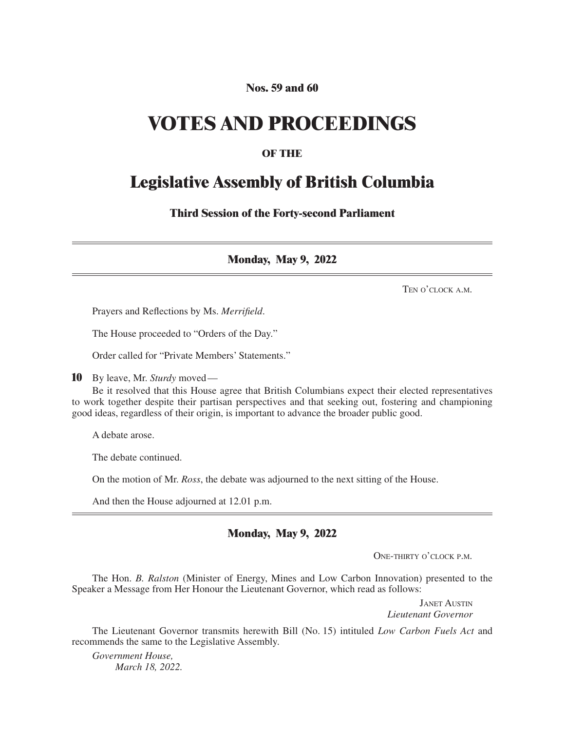#### **Nos. 59 and 60**

## **VOTES AND PROCEEDINGS**

#### **OF THE**

### **Legislative Assembly of British Columbia**

**Third Session of the Forty-second Parliament**

**Monday, May 9, 2022**

Ten o'clock a.m.

Prayers and Reflections by Ms. *Merrifield*.

The House proceeded to "Orders of the Day."

Order called for "Private Members' Statements."

**10** By leave, Mr. *Sturdy* moved—

Be it resolved that this House agree that British Columbians expect their elected representatives to work together despite their partisan perspectives and that seeking out, fostering and championing good ideas, regardless of their origin, is important to advance the broader public good.

A debate arose.

The debate continued.

On the motion of Mr. *Ross*, the debate was adjourned to the next sitting of the House.

And then the House adjourned at 12.01 p.m.

#### **Monday, May 9, 2022**

One-thirty o'clock p.m.

The Hon. *B. Ralston* (Minister of Energy, Mines and Low Carbon Innovation) presented to the Speaker a Message from Her Honour the Lieutenant Governor, which read as follows:

> Janet Austin *Lieutenant Governor*

The Lieutenant Governor transmits herewith Bill (No. 15) intituled *Low Carbon Fuels Act* and recommends the same to the Legislative Assembly.

*Government House, March 18, 2022.*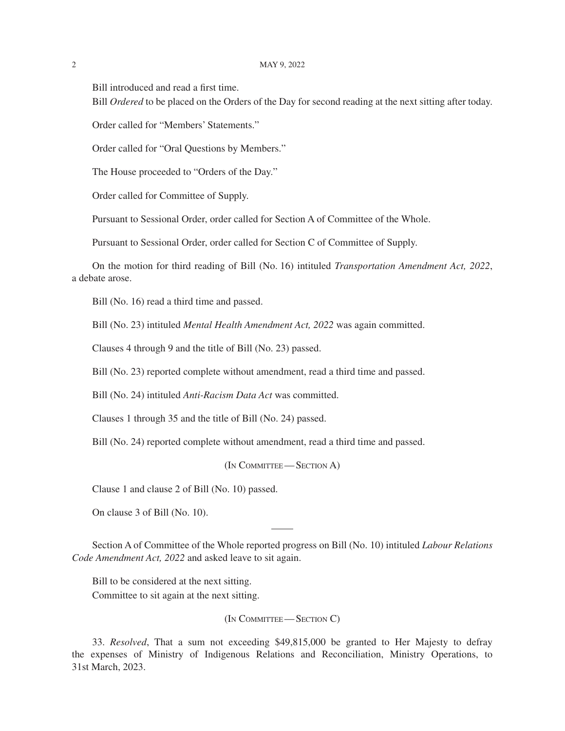#### 2 May 9, 2022

Bill introduced and read a first time.

Bill *Ordered* to be placed on the Orders of the Day for second reading at the next sitting after today.

Order called for "Members' Statements."

Order called for "Oral Questions by Members."

The House proceeded to "Orders of the Day."

Order called for Committee of Supply.

Pursuant to Sessional Order, order called for Section A of Committee of the Whole.

Pursuant to Sessional Order, order called for Section C of Committee of Supply.

On the motion for third reading of Bill (No. 16) intituled *Transportation Amendment Act, 2022*, a debate arose.

Bill (No. 16) read a third time and passed.

Bill (No. 23) intituled *Mental Health Amendment Act, 2022* was again committed.

Clauses 4 through 9 and the title of Bill (No. 23) passed.

Bill (No. 23) reported complete without amendment, read a third time and passed.

Bill (No. 24) intituled *Anti-Racism Data Act* was committed.

Clauses 1 through 35 and the title of Bill (No. 24) passed.

Bill (No. 24) reported complete without amendment, read a third time and passed.

(In Committee— Section A)

Clause 1 and clause 2 of Bill (No. 10) passed.

On clause 3 of Bill (No. 10).

Section A of Committee of the Whole reported progress on Bill (No. 10) intituled *Labour Relations Code Amendment Act, 2022* and asked leave to sit again.

Bill to be considered at the next sitting.

Committee to sit again at the next sitting.

(In COMMITTEE—SECTION C)

33. *Resolved*, That a sum not exceeding \$49,815,000 be granted to Her Majesty to defray the expenses of Ministry of Indigenous Relations and Reconciliation, Ministry Operations, to 31st March, 2023.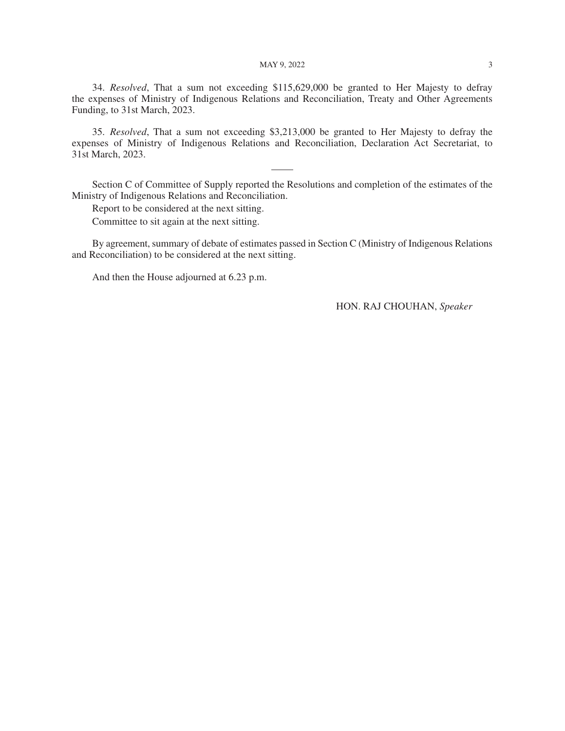#### MAY 9, 2022 3

34. *Resolved*, That a sum not exceeding \$115,629,000 be granted to Her Majesty to defray the expenses of Ministry of Indigenous Relations and Reconciliation, Treaty and Other Agreements Funding, to 31st March, 2023.

35. *Resolved*, That a sum not exceeding \$3,213,000 be granted to Her Majesty to defray the expenses of Ministry of Indigenous Relations and Reconciliation, Declaration Act Secretariat, to 31st March, 2023.

Section C of Committee of Supply reported the Resolutions and completion of the estimates of the Ministry of Indigenous Relations and Reconciliation.

Report to be considered at the next sitting.

Committee to sit again at the next sitting.

By agreement, summary of debate of estimates passed in Section C (Ministry of Indigenous Relations and Reconciliation) to be considered at the next sitting.

And then the House adjourned at 6.23 p.m.

HON. RAJ CHOUHAN, *Speaker*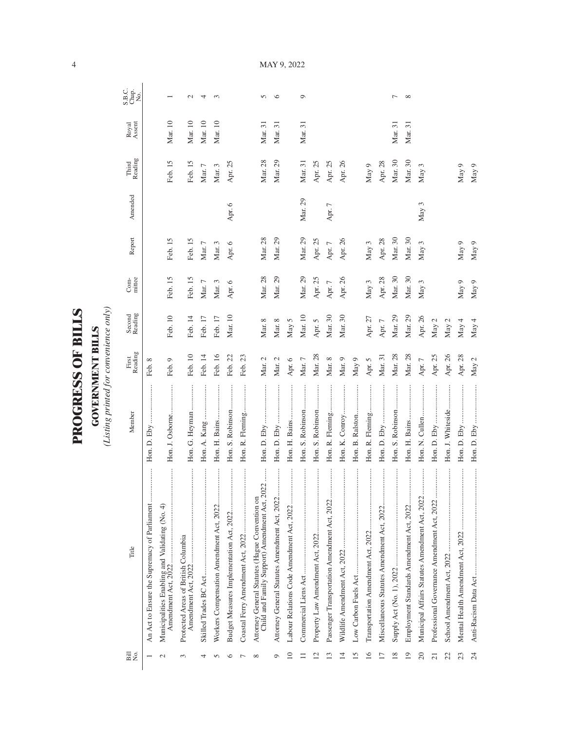| )<br>ו |
|--------|
|        |
| ļ      |
| ſ      |
|        |
| i<br>C |
|        |
|        |
| くくしょう  |
|        |
|        |
|        |
|        |
|        |
|        |

**GOVERNMENT BILLS**<br>(Listing printed for convenience only) *(Listing printed for convenience only)*

**GOVERNMENT BILLS**

| Bill<br>N⊙.          | Title                                                                                                  | Member            | First<br>Reading | Second<br>Reading | mittee<br>Com- | Report     | Amended  | Reading<br>Third | Royal<br>Assent | S.B.C.<br>Chap.<br>No. |
|----------------------|--------------------------------------------------------------------------------------------------------|-------------------|------------------|-------------------|----------------|------------|----------|------------------|-----------------|------------------------|
|                      | An Act to Ensure the Supremacy of Parliament                                                           | Hon. D. Eby       | Feb. 8           |                   |                |            |          |                  |                 |                        |
| $\sim$               | Municipalities Enabling and Validating (No. 4)<br>Amendment Act, 2022                                  | Hon. J. Osborne   | Feb. 9           | Feb. 10           | Feb. 15        | Feb. 15    |          | Feb. 15          | Mar. 10         |                        |
| $\sim$               | <br>Protected Areas of British Columbia                                                                | Hon. G. Heyman    | Feb. 10          | Feb. 14           | Feb. 15        | Feb. 15    |          | Feb. 15          | Mar. 10         | $\mathcal{L}$          |
|                      |                                                                                                        | Hon. A. Kang      | Feb. 14          | Feb. 17           | Mar. $7\,$     | Mar. $7\,$ |          | Mar. $7$         | Mar. 10         | 4                      |
| n                    | Workers Compensation Amendment Act, 2022                                                               |                   | Feb. 16          | Feb. 17           | Mar. $3$       | Mar. $3$   |          | Mar. 3           | Mar. 10         | ç                      |
| ≏                    | Budget Measures Implementation Act, 2022                                                               | Hon. S. Robinson  | Feb. 22          | Mar. 10           | Apr. 6         | Apr. 6     | Apr. 6   | Apr. 25          |                 |                        |
|                      |                                                                                                        | Hon. R. Fleming   | Feb. 23          |                   |                |            |          |                  |                 |                        |
| $\infty$             | $022$<br>Child and Family Support) Amendment Act, 20<br>Attorney General Statutes (Hague Convention on |                   | Mar. 2           | Mar. 8            | Mar. 28        | Mar. 28    |          | Mar. 28          | Mar. 31         | 5                      |
| O                    | Attorney General Statutes Amendment Act, 2022                                                          |                   | Mar. 2           | Mar. 8            | Mar. 29        | Mar. 29    |          | Mar. 29          | Mar. 31         | $\circ$                |
| $\supseteq$          | <br>Labour Relations Code Amendment Act, 2022                                                          |                   | Apr. $6$         | May 5             |                |            |          |                  |                 |                        |
|                      |                                                                                                        | Hon. S. Robinson  | Mar. 7           | Mar. 10           | Mar. 29        | Mar. 29    | Mar. 29  | Mar. 31          | Mar. 31         | $\circ$                |
| $\scriptstyle\simeq$ |                                                                                                        | Hon. S. Robinson  | Mar. 28          | Apr. 5            | Apr. 25        | Apr. 25    |          | Apr. 25          |                 |                        |
| ൗ                    | <br>Passenger Transportation Amendment Act, 2022                                                       | Hon. R. Fleming   | Mar. 8           | Mar. 30           | Apr. $7$       | Apr. $7$   | Apr. $7$ | Apr. 25          |                 |                        |
| $\overline{4}$       |                                                                                                        | Hon. K. Conroy    | Mar. 9           | Mar. 30           | Apr. 26        | Apr. 26    |          | Apr. 26          |                 |                        |
| $\overline{5}$       |                                                                                                        |                   | May 9            |                   |                |            |          |                  |                 |                        |
| 16                   |                                                                                                        | Hon. R. Fleming   | Apr. 5           | Apr. 27           | May $3$        | May 3      |          | May 9            |                 |                        |
| $\overline{1}$       | <br>Miscellaneous Statutes Amendment Act, 2022                                                         | Hon. D. Eby       | Mar. 31          | Apr. $7$          | Apr. 28        | Apr. 28    |          | Apr. 28          |                 |                        |
| $^{18}$              |                                                                                                        | Hon. S. Robinson  | Mar. 28          | Mar. 29           | Mar. 30        | Mar. 30    |          | Mar. 30          | Mar. 31         | ∼                      |
| $\overline{1}$       | Employment Standards Amendment Act, 2022                                                               | Hon. H. Bains     | Mar. 28          | Mar. 29           | Mar. 30        | Mar. 30    |          | Mar. 30          | Mar. 31         | $\infty$               |
| 20                   | Municipal Affairs Statutes Amendment Act, 2022                                                         |                   | Apr. $7\,$       | Apr. 26           | May 3          | May 3      | May 3    | May 3            |                 |                        |
| ត                    | Professional Governance Amendment Act, 2022                                                            |                   | Apr. 25          | May 2             |                |            |          |                  |                 |                        |
| 22                   |                                                                                                        | Hon. J. Whiteside | Apr. 26          | May $2$           |                |            |          |                  |                 |                        |
| 23                   | $\vdots$<br>Mental Health Amendment Act, 2022                                                          | Hon. D. Eby       | Apr. 28          | May 4             | May 9          | May 9      |          | May 9            |                 |                        |
| 24                   | Anti-Racism Data Act                                                                                   |                   | May 2            | May 4             | May 9          | May 9      |          | May 9            |                 |                        |

MAY 9, 2022

4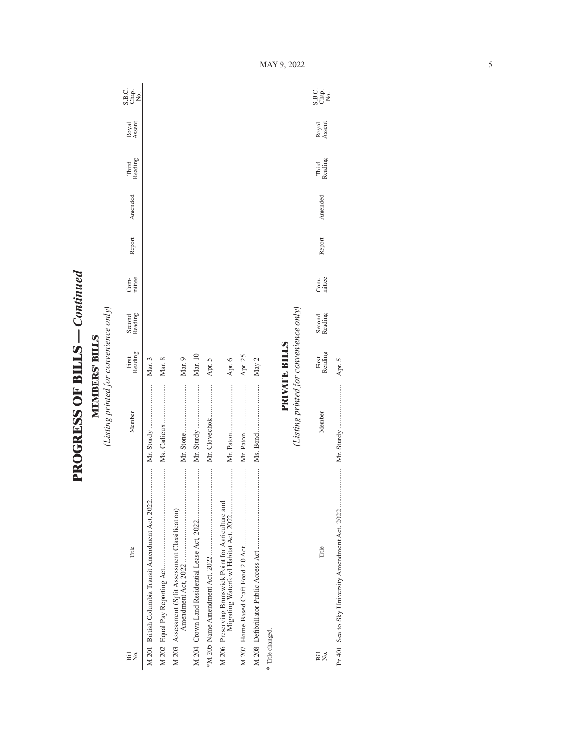**PROGRESS OF BILLS - Continued PROGRESS OF BILLS** *— Continued*

**MEMBERS' BILLS**<br>(Listing printed for convenience only) *(Listing printed for convenience only)* **MEMBERS' BILLS**

| $\overline{B}$<br>Σó, | Title                                                | Member                                 | Reading<br>First     | Second<br>Reading | mittee<br>Com- | Report | Amended | Reading<br>Third | Royal<br>Assent | S.B.c.<br>S.B.c.<br>No.    |
|-----------------------|------------------------------------------------------|----------------------------------------|----------------------|-------------------|----------------|--------|---------|------------------|-----------------|----------------------------|
|                       | M 201 British Columbia Transit Amendment Act, 2022   |                                        | Mar. 3               |                   |                |        |         |                  |                 |                            |
|                       |                                                      |                                        | Mar. 8               |                   |                |        |         |                  |                 |                            |
|                       | M 203 Assessment (Split Assessment Classification)   |                                        | Mar. 9               |                   |                |        |         |                  |                 |                            |
|                       |                                                      |                                        | Mar. 10              |                   |                |        |         |                  |                 |                            |
|                       |                                                      |                                        | Apr. 5               |                   |                |        |         |                  |                 |                            |
|                       | M 206 Preserving Brunswick Point for Agriculture and |                                        | Apr. 6               |                   |                |        |         |                  |                 |                            |
|                       |                                                      |                                        | Apr. 25              |                   |                |        |         |                  |                 |                            |
|                       |                                                      |                                        | May 2                |                   |                |        |         |                  |                 |                            |
| * Title changed.      |                                                      |                                        |                      |                   |                |        |         |                  |                 |                            |
|                       |                                                      |                                        | <b>PRIVATE BILLS</b> |                   |                |        |         |                  |                 |                            |
|                       |                                                      | (Listing printed for convenience only) |                      |                   |                |        |         |                  |                 |                            |
| Bill<br>Σó.           | Title                                                | Member                                 | Reading<br>First     | Second<br>Reading | mittee<br>Com- | Report | Amended | Third<br>Reading | Royal<br>Assent | C.<br>S.B.<br>X.B.<br>X.B. |

Pr 401 Sea to Sky University Amendment Act, 2022 ..................... Mr. Sturdy ........................ Apr. 5

 $\overline{\phantom{a}}$ 

Apr. 5

MAY 9, 2022